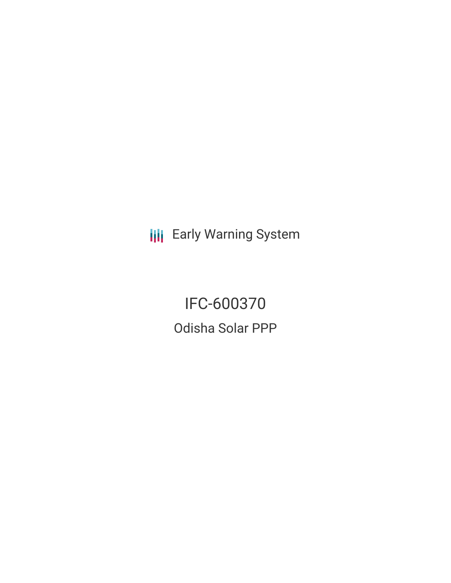**III** Early Warning System

IFC-600370 Odisha Solar PPP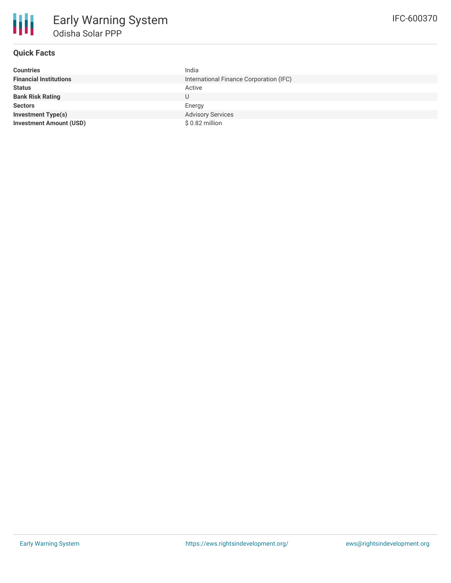## **Quick Facts**

| <b>Countries</b>               | India                                   |
|--------------------------------|-----------------------------------------|
| <b>Financial Institutions</b>  | International Finance Corporation (IFC) |
| <b>Status</b>                  | Active                                  |
| <b>Bank Risk Rating</b>        |                                         |
| <b>Sectors</b>                 | Energy                                  |
| <b>Investment Type(s)</b>      | <b>Advisory Services</b>                |
| <b>Investment Amount (USD)</b> | \$0.82 million                          |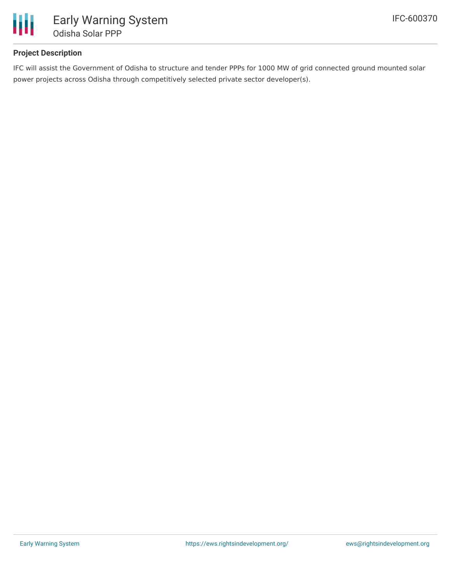

## **Project Description**

IFC will assist the Government of Odisha to structure and tender PPPs for 1000 MW of grid connected ground mounted solar power projects across Odisha through competitively selected private sector developer(s).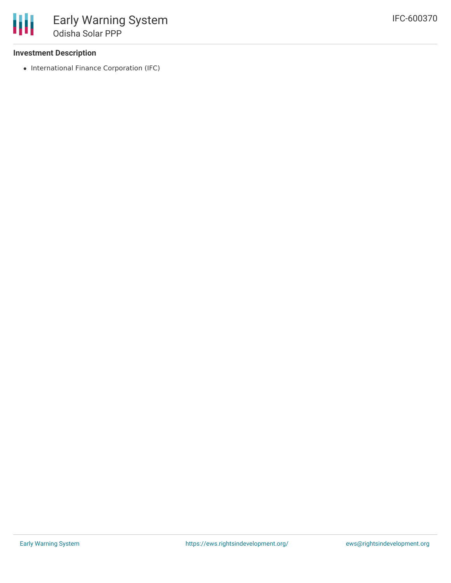## **Investment Description**

• International Finance Corporation (IFC)